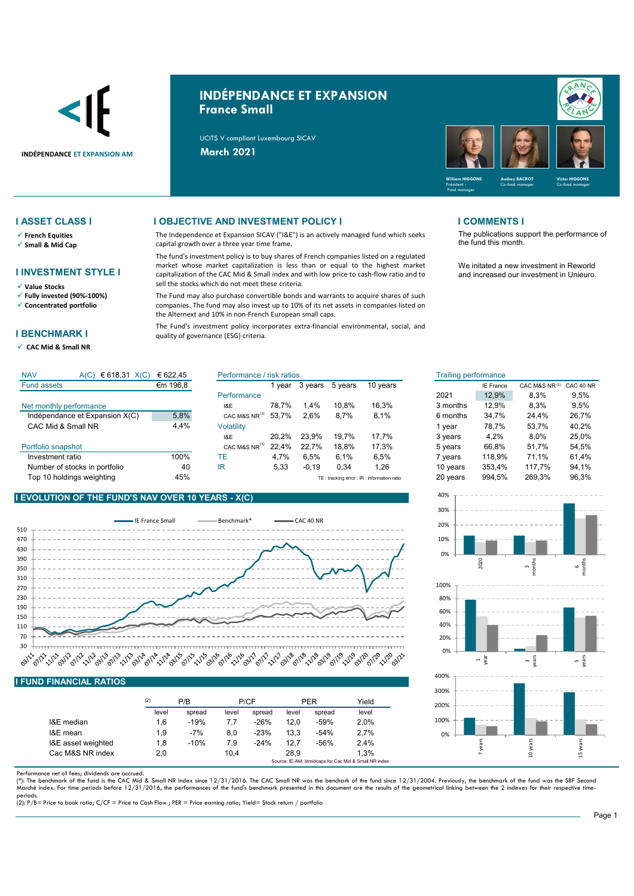

# **INDÉPENDANCE ET EXPANSION France Small**

UCITS V compliant Luxembourg SICAV



- **French Equities**
- **Small & Mid Cap**

### **I INVESTMENT STYLE I**

- **Value Stocks**
- **Fully invested (90%-100%) Concentrated portfolio**
- 

### **I BENCHMARK I**

**CAC Mid & Small NR** 

## **I ASSET CLASS I I OBJECTIVE AND INVESTMENT POLICY I I COMMENTS I**

The Independence et Expansion SICAV ("I&E") is an actively managed fund which seeks capital growth over a three year time frame.

The fund's investment policy is to buy shares of French companies listed on a regulated market whose market capitalization is less than or equal to the highest market capitalization of the CAC Mid & Small index and with low price to cash-flow ratio and to sell the stocks which do not meet these criteria.

The Fund may also purchase convertible bonds and warrants to acquire shares of such companies. The fund may also invest up to 10% of its net assets in companies listed on the Alternext and 10% in non-French European small caps.

The Fund's investment policy incorporates extra-financial environmental, social, and quality of governance (ESG) criteria.

The publications support the performance of the fund this month.

We initated a new investment in Reworld and increased our investment in Unieuro.

| <b>NAV</b><br>€ 618,31 $X(C)$<br>A(C) | € 622.45 | Performance / risk ratios |        |         | Trailing performance |                                           |          |                  |               |           |
|---------------------------------------|----------|---------------------------|--------|---------|----------------------|-------------------------------------------|----------|------------------|---------------|-----------|
| <b>Fund assets</b>                    | €m 196,8 |                           | 1 vear | 3 years | 5 years              | 10 years                                  |          | <b>IE France</b> | CAC M&S NR(1) | CAC 40 NR |
|                                       |          | Performance               |        |         |                      |                                           | 2021     | 12.9%            | 8,3%          | 9,5%      |
| Net monthly performance               |          | I&E                       | 78.7%  | 1.4%    | 10.8%                | 16.3%                                     | 3 months | 12.9%            | 8.3%          | 9,5%      |
| Indépendance et Expansion X(C)        | 5,8%     | CAC M&S NR <sup>"</sup>   | 53.7%  | 2.6%    | 8.7%                 | 8,1%                                      | 6 months | 34.7%            | 24.4%         | 26,7%     |
| CAC Mid & Small NR                    | 4,4%     | Volatility                |        |         |                      |                                           | vear     | 78.7%            | 53.7%         | 40,2%     |
|                                       |          | I&E                       | 20.2%  | 23.9%   | 19.7%                | 17.7%                                     | 3 years  | 4.2%             | $8.0\%$       | 25,0%     |
| Portfolio snapshot                    |          | CAC M&S NR <sup>14</sup>  | 22.4%  | 22.7%   | 18.8%                | 17.3%                                     | 5 years  | 66,8%            | 51.7%         | 54,5%     |
| Investment ratio                      | 100%     | ТE                        | 4.7%   | 6.5%    | 6.1%                 | 6.5%                                      | vears    | 118.9%           | 71.1%         | 61.4%     |
| Number of stocks in portfolio         | 40       | ΙR                        | 5,33   | $-0,19$ | 0,34                 | 26.ا                                      | 10 years | 353,4%           | 117.7%        | 94,1%     |
| Top 10 holdings weighting             | 45%      |                           |        |         |                      | TE: tracking error; IR: information ratio | 20 years | 994.5%           | 269.3%        | 96,3%     |

### **I EVOLUTION OF THE FUND'S NAV OVER 10 YEARS - X(C)**

 $(6)$   $618.31$   $(6)$   $6200.45$ 



|                    | (2)   | P/B    |       | P/CF   |       | <b>PER</b> | Yield |
|--------------------|-------|--------|-------|--------|-------|------------|-------|
|                    | level | spread | level | spread | level | spread     | level |
| I&E median         | 1.6   | $-19%$ | 7.7   | $-26%$ | 12.0  | $-59%$     | 2.0%  |
| I&E mean           | 1.9   | $-7%$  | 8.0   | $-23%$ | 13.3  | $-54%$     | 2.7%  |
| I&E asset weighted | 1,8   | $-10%$ | 7,9   | $-24%$ | 12.7  | $-56%$     | 2.4%  |
| Cac M&S NR index   | 2,0   |        | 10.4  |        | 28.9  |            | 1.3%  |

Performance net of fees; dividends are accrued.

(\*): The benchmark of the fund is the CAC Mid & Small NR index since 12/31/2016. The CAC Small NR was the benchark of the fund since 12/31/2004. Previously, the benchmark of the fund was the SBF Second<br>Marché index. For ti

periods. (2): P/B= Price to book ratio; C/CF = Price to Cash Flow ; PER = Price earning ratio; Yield= Stock return / portfolio

| isk ratios |         |         |                                            | <b>Trailing performance</b> |                  |               |           |
|------------|---------|---------|--------------------------------------------|-----------------------------|------------------|---------------|-----------|
| 1 year     | 3 years | 5 years | 10 years                                   |                             | <b>IE France</b> | CAC M&S NR(1) | CAC 40 NR |
|            |         |         |                                            | 2021                        | 12,9%            | 8,3%          | 9,5%      |
| 78,7%      | 1.4%    | 10.8%   | 16.3%                                      | 3 months                    | 12.9%            | 8.3%          | 9.5%      |
| 53,7%      | 2.6%    | 8.7%    | 8.1%                                       | 6 months                    | 34,7%            | 24.4%         | 26,7%     |
|            |         |         |                                            | 1 vear                      | 78.7%            | 53,7%         | 40,2%     |
| 20,2%      | 23.9%   | 19.7%   | 17,7%                                      | 3 years                     | 4.2%             | 8.0%          | 25,0%     |
| 22,4%      | 22,7%   | 18,8%   | 17,3%                                      | 5 years                     | 66,8%            | 51,7%         | 54,5%     |
| 4,7%       | 6,5%    | 6,1%    | 6.5%                                       | 7 years                     | 118,9%           | 71.1%         | 61,4%     |
| 5,33       | $-0,19$ | 0.34    | 1.26                                       | 10 years                    | 353,4%           | 117,7%        | 94,1%     |
|            |         |         | TE: tracking error ; IR: information ratio | 20 years                    | 994,5%           | 269,3%        | 96,3%     |